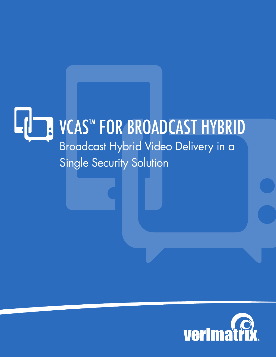# VCAS™ FOR BROADCAST HYBRID  $\bullet$ Broadcast Hybrid Video Delivery in a Single Security Solution

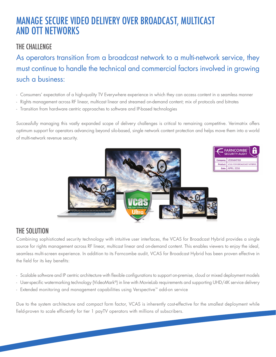## MANAGE SECURE VIDEO DELIVERY OVER BROADCAST, MULTICAST AND OTT NETWORKS

### THE CHALLENGE

As operators transition from a broadcast network to a multi-network service, they must continue to handle the technical and commercial factors involved in growing such a business:

- Consumers' expectation of a high-quality TV Everywhere experience in which they can access content in a seamless manner
- Rights management across RF linear, multicast linear and streamed on-demand content; mix of protocols and bitrates
- Transition from hardware centric approaches to software and IP-based technologies

Successfully managing this vastly expanded scope of delivery challenges is critical to remaining competitive. Verimatrix offers optimum support for operators advancing beyond silo-based, single network content protection and helps move them into a world of multi-network revenue security.



### THE SOLUTION

Combining sophisticated security technology with intuitive user interfaces, the VCAS for Broadcast Hybrid provides a single source for rights management across RF linear, multicast linear and on-demand content. This enables viewers to enjoy the ideal, seamless multi-screen experience. In addition to its Farncombe audit, VCAS for Broadcast Hybrid has been proven effective in the field for its key benefits:

- Scalable software and IP centric architecture with flexible configurations to support on-premise, cloud or mixed deployment models
- User-specific watermarking technology (VideoMark®) in line with MovieLab requirements and supporting UHD/4K service delivery
- Extended monitoring and management capabilities using Verspective™ add-on service

Due to the system architecture and compact form factor, VCAS is inherently cost-effective for the smallest deployment while field-proven to scale efficiently for tier 1 payTV operators with millions of subscribers.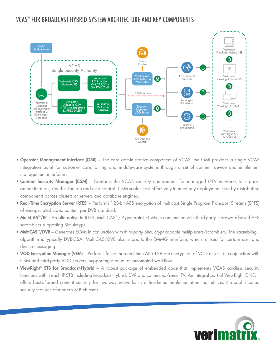### VCAS™ FOR BROADCAST HYBRID SYSTEM ARCHITECTURE AND KEY COMPONENTS



- Operator Management Interface (OMI) The core administrative component of VCAS, the OMI provides a single VCAS integration point for customer care, billing and middleware systems through a set of content, device and entitlement management interfaces.
- Content Security Manager (CSM) Contains the VCAS security components for managed IPTV networks to support authentication, key distribution and user control. CSM scales cost effectively to meet any deployment size by distributing components across clusters of servers and database engines.
- Real-Time Encryption Server (RTES) Performs 128-bit AES encryption of multicast Single Program Transport Streams (SPTS) of encapsulated video content per DVB standard.
- MultiCAS™/IP An alternative to RTES, MultiCAS™/IP generates ECMs in conjunction with third-party, hardware-based AES scramblers supporting Simulcrypt.
- MultiCAS™/DVB Generates ECMs in conjunction with third-party Simulcrypt capable multiplexers/scramblers. The scrambling algorithm is typically DVB-CSA. MultiCAS/DVB also supports the EMMG interface, which is used for certain user and device messaging.
- VOD Encryption Manager (VEM) Performs faster than real-time AES-128 pre-encryption of VOD assets, in conjunction with CSM and third-party VOD servers, supporting manual or automated workflow.
- ViewRight® STB for Broadcast-Hybrid A robust package of embedded code that implements VCAS cardless security functions within each IP-STB including broadcast-hybrid, DVR and connected/smart TV. An integral part of ViewRight ONE, it offers best-of-breed content security for two-way networks in a hardened implementation that utilizes the sophisticated security features of modern STB chipsets.